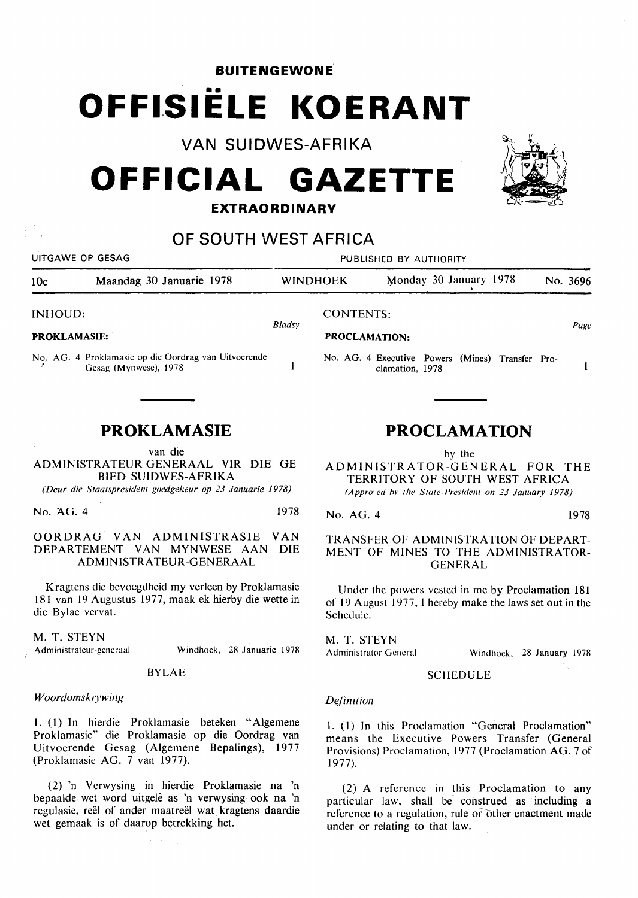**BUITENGEWONE .** 

# **OFFISIËLE KOERANT**

**VAN SUIDWES-AFRIKA** 

# **OFFICIAL GAZETTE EXTRAORDINARY**



#### **OF SOUTH WEST AFRICA**  UITGAWE OP GESAG PUBLISHED BY AUTHORITY 10c Maandag 30 Januarie 1978 WINDHOEK Monday 30 January 1978 No. 3696 INHOUD: CONTENTS: *Bladsy Page*  **PROKLAMASIE: PROCLAMATION:**  No. AG. 4 Proklamasic op die Oordrag van Uitvoerende No. AG. 4 Executive Powers (Mines) Transfer Pro- $\mathbf{1}$  $\mathbf{1}$ Gesag (Mynwese), 1978 clamation, 1978 **PROKLAMASIE PROCLAMATION**  van die by the ADMINISTRATEUR-GENERAAL VIR DIE GE-ADMINISTRATOR-GENERAL FOR THE BIED SUIDWES-AFRIKA TERRITORY OF SOUTH WEST AFRICA *(Deur die Slaalspresidenl guedgekeur op 23 Januarie 1978) (Approved by the State President on 23 January 1978)* No. AG. 4 1978 No. AG. 4 1978 OORDRAG VAN ADMINISTRASIE VAN TRANSFER OF ADMINISTRATION OF DEPART-DEPARTEMENT VAN MYNWESE AAN DIE MENT OF MINES TO THE ADMINISTRATOR-ADMINISTRATEUR-GENERAAL GENERAL Kragtens die bevoegdheid my verleen by Proklamasie Under the powers vested in me by Proclamation 181 181 van 19 Augustus 1977, maak ek hierby die wette in of 19 August 1977, I hereby make the laws set out in the Schedule.

die Bylae vervat.

M. T. STEYN Administrateur-generaal Windhoek, 28 Januarie 1978

# BYLAE

## *Woordomskrywing*

1. (I) In hierdie Proklamasie beteken "Algemene Proklamasie" die Proklamasie op die Oordrag van Uitvoerende Gesag (Aigemene Bepalings), 1977 (Proklamasie AG. 7 van 1977).

(2) 'n Verwysing in hierdie Proklamasie na 'n bepaalde wet word uitgele as 'n verwysing ook na 'n regulasie, reel of ander maatreel wat kragtens daardie wet gemaak is of daarop betrekking het.

M. T. STEYN Administrator General

Windhoek, 28 January 1978

## **SCHEDULE**

#### *Definition*

I. (I) In this Proclamation "General Proclamation" means the Executive Powers Transfer (General Provisions) Proclamation, 1977 (Proclamation AG. 7 of 1977).

(2) A reference in this Proclamation to any particular law, shall be construed as including a reference to a regulation, rule or other enactment made under or relating to that law.